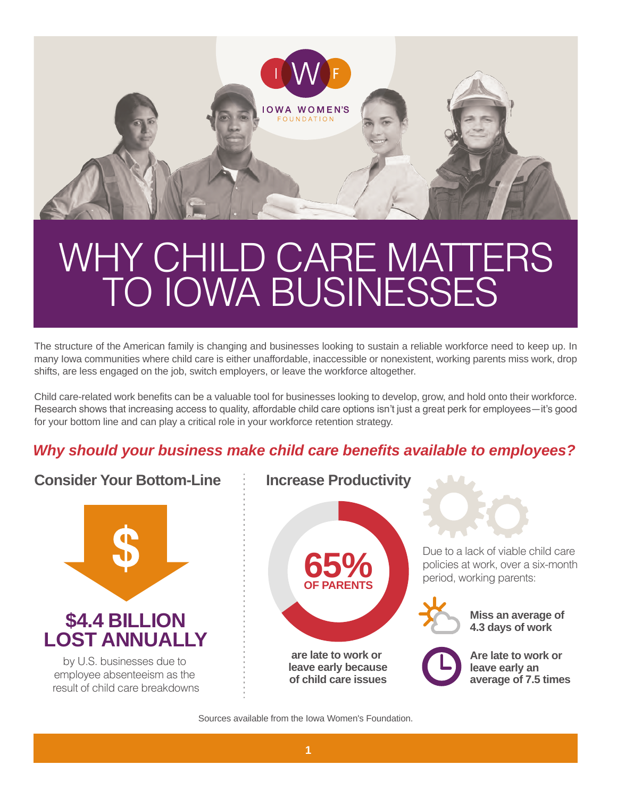

# TO IOWA BUSINESSES WHY CHILD CARE MATTERS

The structure of the American family is changing and businesses looking to sustain a reliable workforce need to keep up. In many Iowa communities where child care is either unaffordable, inaccessible or nonexistent, working parents miss work, drop shifts, are less engaged on the job, switch employers, or leave the workforce altogether.

Child care-related work benefits can be a valuable tool for businesses looking to develop, grow, and hold onto their workforce. Research shows that increasing access to quality, affordable child care options isn't just a great perk for employees—it's good for your bottom line and can play a critical role in your workforce retention strategy.

### *Why should your business make child care benefits available to employees?*

### **Consider Your Bottom-Line**



#### **Increase Productivity**



Due to a lack of viable child care policies at work, over a six-month period, working parents:

> **Miss an average of 4.3 days of work**



**Are late to work or leave early an average of 7.5 times**

Sources available from the Iowa Women's Foundation.